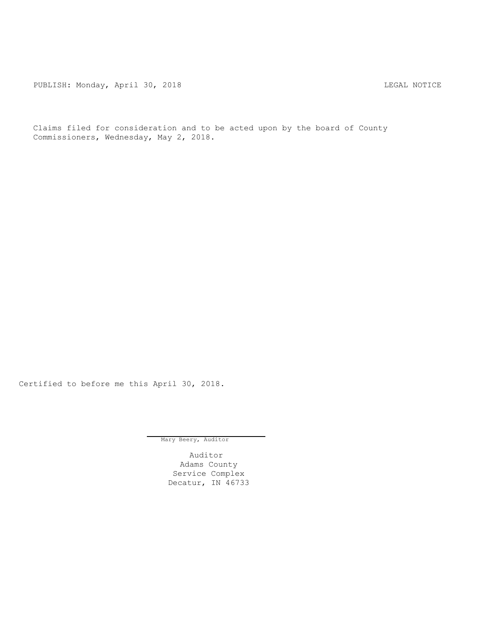PUBLISH: Monday, April 30, 2018 CHANGE CONSERVATION CONTRACT MOTICE

Claims filed for consideration and to be acted upon by the board of County Commissioners, Wednesday, May 2, 2018.

Certified to before me this April 30, 2018.

Mary Beery, Auditor

Auditor Adams County Service Complex Decatur, IN 46733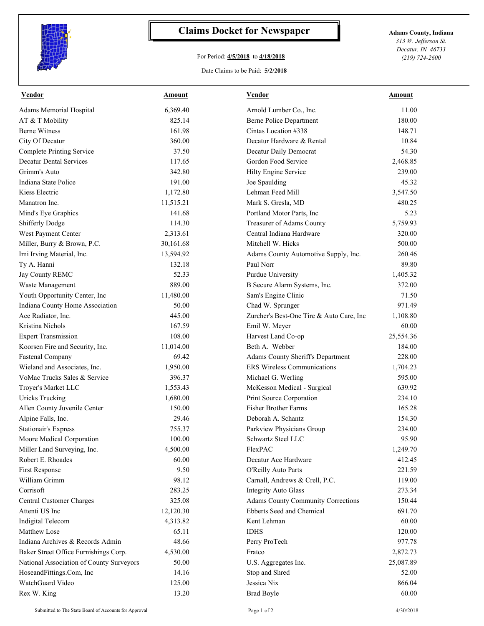

## **Claims Docket for Newspaper Adams County, Indiana**

## For Period: **4/5/2018** to **4/18/2018**

*313 W. Jefferson St. Decatur, IN 46733 (219) 724-2600*

## Date Claims to be Paid: **5/2/2018**

| <b>Vendor</b>                            | <b>Amount</b> | <b>Vendor</b>                             | <b>Amount</b> |
|------------------------------------------|---------------|-------------------------------------------|---------------|
| Adams Memorial Hospital                  | 6,369.40      | Arnold Lumber Co., Inc.                   | 11.00         |
| AT & T Mobility                          | 825.14        | <b>Berne Police Department</b>            | 180.00        |
| <b>Berne Witness</b>                     | 161.98        | Cintas Location #338                      | 148.71        |
| City Of Decatur                          | 360.00        | Decatur Hardware & Rental                 | 10.84         |
| <b>Complete Printing Service</b>         | 37.50         | Decatur Daily Democrat                    | 54.30         |
| <b>Decatur Dental Services</b>           | 117.65        | Gordon Food Service                       | 2,468.85      |
| Grimm's Auto                             | 342.80        | Hilty Engine Service                      | 239.00        |
| Indiana State Police                     | 191.00        | Joe Spaulding                             | 45.32         |
| Kiess Electric                           | 1,172.80      | Lehman Feed Mill                          | 3,547.50      |
| Manatron Inc.                            | 11,515.21     | Mark S. Gresla, MD                        | 480.25        |
| Mind's Eye Graphics                      | 141.68        | Portland Motor Parts, Inc                 | 5.23          |
| Shifferly Dodge                          | 114.30        | Treasurer of Adams County                 | 5,759.93      |
| West Payment Center                      | 2,313.61      | Central Indiana Hardware                  | 320.00        |
| Miller, Burry & Brown, P.C.              | 30,161.68     | Mitchell W. Hicks                         | 500.00        |
| Imi Irving Material, Inc.                | 13,594.92     | Adams County Automotive Supply, Inc.      | 260.46        |
| Ty A. Hanni                              | 132.18        | Paul Norr                                 | 89.80         |
| Jay County REMC                          | 52.33         | Purdue University                         | 1,405.32      |
| Waste Management                         | 889.00        | B Secure Alarm Systems, Inc.              | 372.00        |
| Youth Opportunity Center, Inc            | 11,480.00     | Sam's Engine Clinic                       | 71.50         |
| Indiana County Home Association          | 50.00         | Chad W. Sprunger                          | 971.49        |
| Ace Radiator, Inc.                       | 445.00        | Zurcher's Best-One Tire & Auto Care, Inc  | 1,108.80      |
| Kristina Nichols                         | 167.59        | Emil W. Meyer                             | 60.00         |
| <b>Expert Transmission</b>               | 108.00        | Harvest Land Co-op                        | 25,554.36     |
| Koorsen Fire and Security, Inc.          | 11,014.00     | Beth A. Webber                            | 184.00        |
| <b>Fastenal Company</b>                  | 69.42         | Adams County Sheriff's Department         | 228.00        |
| Wieland and Associates, Inc.             | 1,950.00      | <b>ERS</b> Wireless Communications        | 1,704.23      |
| VoMac Trucks Sales & Service             | 396.37        | Michael G. Werling                        | 595.00        |
| Troyer's Market LLC                      | 1,553.43      | McKesson Medical - Surgical               | 639.92        |
| <b>Uricks Trucking</b>                   | 1,680.00      | Print Source Corporation                  | 234.10        |
| Allen County Juvenile Center             | 150.00        | <b>Fisher Brother Farms</b>               | 165.28        |
| Alpine Falls, Inc.                       | 29.46         | Deborah A. Schantz                        | 154.30        |
| <b>Stationair's Express</b>              | 755.37        | Parkview Physicians Group                 | 234.00        |
| Moore Medical Corporation                | 100.00        | Schwartz Steel LLC                        | 95.90         |
| Miller Land Surveying, Inc.              | 4,500.00      | FlexPAC                                   | 1,249.70      |
| Robert E. Rhoades                        | 60.00         | Decatur Ace Hardware                      | 412.45        |
| First Response                           | 9.50          | O'Reilly Auto Parts                       | 221.59        |
| William Grimm                            | 98.12         | Carnall, Andrews & Crell, P.C.            | 119.00        |
| Corrisoft                                | 283.25        | <b>Integrity Auto Glass</b>               | 273.34        |
| <b>Central Customer Charges</b>          | 325.08        | <b>Adams County Community Corrections</b> | 150.44        |
| Attenti US Inc                           | 12,120.30     | Ebberts Seed and Chemical                 | 691.70        |
| Indigital Telecom                        | 4,313.82      | Kent Lehman                               | 60.00         |
| <b>Matthew Lose</b>                      | 65.11         | <b>IDHS</b>                               | 120.00        |
| Indiana Archives & Records Admin         | 48.66         | Perry ProTech                             | 977.78        |
| Baker Street Office Furnishings Corp.    | 4,530.00      | Fratco                                    | 2,872.73      |
| National Association of County Surveyors | 50.00         | U.S. Aggregates Inc.                      | 25,087.89     |
| HoseandFittings.Com, Inc                 | 14.16         | Stop and Shred                            | 52.00         |
| WatchGuard Video                         | 125.00        | Jessica Nix                               | 866.04        |
| Rex W. King                              | 13.20         | <b>Brad Boyle</b>                         | 60.00         |